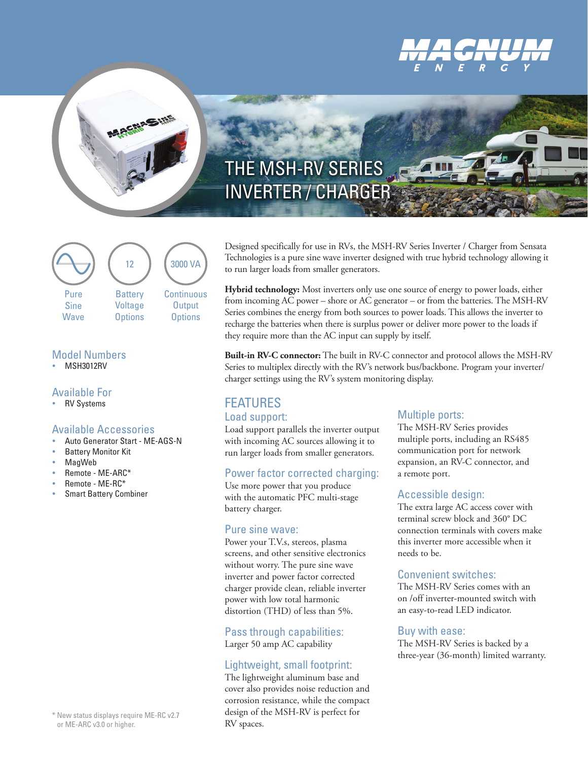

# THE MSH-RV SERIES INVERTER / CHARGER



### Model Numbers

**MSH3012RV** 

### Available For

**RV Systems** 

### Available Accessories

- Auto Generator Start ME-AGS-N
- **Battery Monitor Kit**
- **MagWeb**
- y Remote ME-ARC\*
- Remote ME-RC\*
- **Smart Battery Combiner**

\* New status displays require ME-RC v2.7 or ME-ARC v3.0 or higher.

Designed specifically for use in RVs, the MSH-RV Series Inverter / Charger from Sensata Technologies is a pure sine wave inverter designed with true hybrid technology allowing it to run larger loads from smaller generators.

**Hybrid technology:** Most inverters only use one source of energy to power loads, either from incoming AC power – shore or AC generator – or from the batteries. The MSH-RV Series combines the energy from both sources to power loads. This allows the inverter to recharge the batteries when there is surplus power or deliver more power to the loads if they require more than the AC input can supply by itself.

**Built-in RV-C connector:** The built in RV-C connector and protocol allows the MSH-RV Series to multiplex directly with the RV's network bus/backbone. Program your inverter/ charger settings using the RV's system monitoring display.

### FEATURES Load support:

## Load support parallels the inverter output

with incoming AC sources allowing it to run larger loads from smaller generators.

### Power factor corrected charging:

Use more power that you produce with the automatic PFC multi-stage battery charger.

### Pure sine wave:

Power your T.V.s, stereos, plasma screens, and other sensitive electronics without worry. The pure sine wave inverter and power factor corrected charger provide clean, reliable inverter power with low total harmonic distortion (THD) of less than 5%.

Pass through capabilities: Larger 50 amp AC capability

# Lightweight, small footprint:

The lightweight aluminum base and cover also provides noise reduction and corrosion resistance, while the compact design of the MSH-RV is perfect for RV spaces.

### Multiple ports:

The MSH-RV Series provides multiple ports, including an RS485 communication port for network expansion, an RV-C connector, and a remote port.

### Accessible design:

The extra large AC access cover with terminal screw block and 360° DC connection terminals with covers make this inverter more accessible when it needs to be.

### Convenient switches:

The MSH-RV Series comes with an on /off inverter-mounted switch with an easy-to-read LED indicator.

### Buy with ease:

The MSH-RV Series is backed by a three-year (36-month) limited warranty.